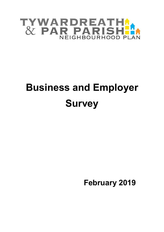

# **Business and Employer Survey**

 **February 2019**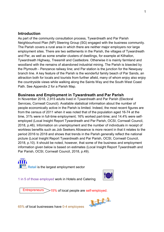## **Introduction**

As part of the community consultation process, Tywardreath and Par Parish Neighbourhood Plan (NP) Steering Group (SG) engaged with the business community. The Parish covers a rural area in which there are neither major employers nor large employment sites. There are two settlements in the Parish, the villages of Tywardreath and Par, as well as some smaller clusters of dwellings, for example at Kilhallon, Tywardreath Highway, Treesmill and Castledore. Otherwise it is mainly farmland and woodland with the remains of abandoned industrial mining. The Parish is bisected by the Plymouth - Penzance railway line; and Par station is the junction for the Newquay branch line. A key feature of the Parish is the wonderful family beach of Par Sands, an attraction both for locals and tourists from further afield, many of whom enjoy also enjoy the countryside views while walking along the Saints Way and the South West Coast Path. See Appendix 2 for a Parish Map.

# **Business and Employment in Tywardreath and Par Parish**

In November 2018, 2,915 adults lived in Tywardreath and Par Parish (Electoral Services, Cornwall Council). Available statistical information about the number of people economically active in the Parish is limited. Indeed, the most recent figures are from the census of 2011 when it was noted that of the population aged 16-74 at the time, 31% were in full-time employment; 16% worked part-time; and 14.4% were selfemployed (Local Insight Report Tywardreath and Par Parish, OCSI, Cornwall Council, 2018, p.46). Information on unemployment and the number of individuals in receipt of workless benefits such as Job Seekers Allowance is more recent in that it relates to the period 2016 to 2018 and shows that trends in the Parish generally reflect the national picture (Local Insight Report Tywardreath and Par Parish, OCSI, Cornwall Council, 2018, p.10). It should be noted, however, that some of the business and employment information given below is based on estimates (Local Insight Report Tywardreath and Par Parish, OCSI, Cornwall Council, 2018, p.49).

**ATT** Retail is the largest employment sector

1 in 5 of those employed work in Hotels and Catering



Entrepreneurs >15% of local people are self-employed.



65% of local businesses have 0-4 employees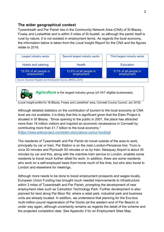# **The wider geographical context**

Tywardreath and Par Parish lies in the Community Network Area (CNA) of St Blazey, Fowey and Lostwithiel and is within 5 miles of St Austell, so although the parish itself is rural by nature, it is not isolated in employment terms. As regards the local economy, the information below is taken from the Local Insight Report for the CNA and the figures relate to 2016.



**Agriculture** is the largest industry group (of VAT eligible businesses)

(Local Insight profile for 'St Blazey, Fowey and Lostwithiel' area, Cornwall County Council, Jan 2018)

Although detailed statistics on the contribution of tourism to the local economy at CNA level are not available, it is likely that this is significant given that the Eden Project is situated in St Blazey. "Since opening to the public in 2001, the place has attracted more than 18 million visitors and inspired an economic renaissance in Cornwall by contributing more than £1.7 billion to the local economy." (https://www.edenproject.com/eden-story/about-us/our-funding)

The residents of Tywardreath and Par Parish do travel outside of the area to work, principally by car or train. Par Station is on the main London-Penzance line: Truro is circa 20 minutes and Plymouth 50 minutes or so by train. Newquay Airport is about 30 minutes by car and this, along with the mainline train service to London, enables some residents to travel much further afield for work. In addition, there are some residents who work on a self-employed basis from home much of the time, but who also travel to London and elsewhere for meetings.

Although more needs to be done to boost employment prospects and wages locally, European Union Funding has brought much needed improvements to infrastructure within 3 miles of Tywardreath and Par Parish, prompting the development of new employment sites such as Carluddon Technology Park. Further development is also planned for land along Par Moor Rd. where a retail park, industrial park and business units are already located. In addition, we understand that planning for the Eco-bos multi-million pound regeneration of Par Docks (at the western end of Par Beach) is under way again, although uncertainty remains as regards the detail of the scheme and the projected completion date. See Appendix 3 for an Employment Sites Map.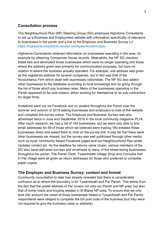#### **Consultation process**

The Neighbourhood Plan (NP) Steering Group (SG) employed Highstone Consultants to set up a Business and Employment website with information specifically of relevance to businesses in the parish and a link to the Employer and Business Survey c.f. https://highstoneconsultants.wixsite.com/tywardreathandpar.

Highstone Consultants obtained information on businesses operating in the area, for example by obtaining Companies House records. Meanwhile, the NP SG checked these lists and eliminated those businesses which were no longer operating and those where the address given was primarily for communication purposes, but bore no relation to where the business actually operated. For example, one address was given as the registered address for several companies, but in fact was that of the Accountancy Firm which dealt with businesses nationwide. The NP SG also added other businesses to the database according to local knowledge and by going through the list of those which pay business rates. Many of the businesses operating in the Parish appeared to be sole traders, either working for themselves or as sub-contractors for larger firms.

Invitations went out via Facebook and on posters throughout the Parish over the summer and autumn of 2018 asking businesses and employers to look at the website and complete the survey online. The Employer and Business Survey was also advertised twice in June and September 2018 in the local community magazine PL24. After much research, we had a list of 155 businesses, but we were only able to find email addresses for 69 of those which we believed were trading. We emailed these businesses direct and asked them to click on the survey link. It may be that there were other businesses we missed, but the survey was well publicised through other media such as local, community based Facebook pages and our Neighbourhood Plan email Updates contact list. As the deadline for returns came closer, various members of the SG also hand-delivered surveys and envelopes to many of the street-facing businesses throughout the parish. The Parish Clerk, Tywardreath Village Shop and Cornubia Hall in Par village were all given as return addresses for those who preferred to complete paper copies.

#### **The Employer and Business Survey: content and format**

Community consultation to date had already revealed that there is considerable confusion as to where the boundary is for Tywardreath and Par Parish. This stems from the fact that the postal address of Par covers not only our Parish and NP area, but also that of some roads and housing estates in St Blaise NP area. To ensure that we only took into account the views of those businesses based in Tywardreath and Par Parish, respondents were obliged to complete the full post code of the business (but they were not required to give the business name or address).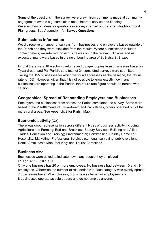Some of the questions in the survey were drawn from comments made at community engagement events e.g. complaints about internet service and flooding. We also drew on ideas for questions in surveys carried out by other Neighbourhood Plan groups. See Appendix 1 for **Survey Questions**.

# **Submissions information**

We did receive a number of surveys from businesses and employers based outside of the Parish and they were excluded from the results. Where submissions included contact details, we referred those businesses on to the relevant NP area and as expected, many were based in the neighbouring area of St Blaise/St Blazey.

In total there were 18 electronic returns and 6 paper copies from businesses based in Tywardreath and Par Parish, so a total of 24 completed surveys were submitted. Taking the 155 businesses for which we found addresses as the baseline, the return rate is 15%. However, given that it is not possible to know exactly how many businesses are operating in the Parish, the return rate figure should be treated with caution.

# **Geographical Spread of Responding Employers and Businesses**

Employers and businesses from across the Parish completed the survey. Some were based in the 2 settlements of Tywardreath and Par villages, others operated out of the more rural areas. See Appendix 2 for Parish Map.

# **Economic activity** (Q3)

There was good representation across different types of business activity including: Agriculture and Farming; Bed-and-Breakfast; Beauty Services; Building and Allied Trades; Education and Training; Environmental; Hairdressing; Holiday Home Let; Hospitality; Marketing; Professional Services e.g. legal, surveying, public relations; Retail; Small-scale Manufacturing; and Tourist Attractions.

# **Business size**

Businesses were asked to indicate how many people they employed i.e. 0; 1-4; 5-9; 10-19; 20+

Only one business has 20 or more employees. No business had between 10 and 19 employees. Otherwise the number of respondents in each category was evenly spread: 7 businesses have 5-9 employees; 8 businesses have 1-4 employees; and

8 businesses operate as sole traders and do not employ anyone.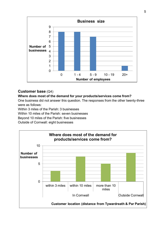

# **Customer base** (Q4)

## **Where does most of the demand for your products/services come from?**

One business did not answer this question. The responses from the other twenty-three were as follows:

Within 3 miles of the Parish: 3 businesses

Within 10 miles of the Parish: seven businesses

Beyond 10 miles of the Parish: five businesses

Outside of Cornwall: eight businesses

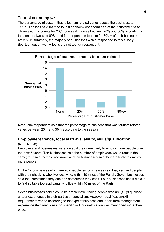# **Tourist economy** (Q5)

The percentage of custom that is tourism related varies across the businesses. Ten businesses said that the tourist economy does form part of their customer base. Three said it accounts for 20%; one said it varies between 20% and 50% according to the season; two said 60%; and four depend on tourism for 80%+ of their business activity. In summary, the majority of businesses which responded to this survey, (fourteen out of twenty-four), are not tourism dependent.



**Note:** one respondent said that the percentage of business that was tourism related varies between 20% and 50% according to the season

# **Employment trends, local staff availability, skills/qualification**

#### (Q6, Q7, Q8)

Employers and businesses were asked if they were likely to employ more people over the next 5 years. Ten businesses said the number of employees would remain the same; four said they did not know; and ten businesses said they are likely to employ more people.

Of the 17 businesses which employ people, six businesses said they can find people with the right skills who live locally i.e. within 10 miles of the Parish. Seven businesses said that sometimes they can and sometimes they can't. Four businesses find it difficult to find suitable job applicants who live within 10 miles of the Parish.

Seven businesses said it could be problematic finding people who are (fully) qualified and/or experienced in their particular specialism. However, qualification/skill requirements varied according to the type of business and, apart from management experience (two mentions), no specific skill or qualification was mentioned more than once.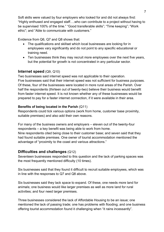Soft skills were valued by four employers who looked for and did not always find: "Highly enthused and engaged staff….who can contribute to a project without having to be supervised 100% of the time." "Good transferable skills"; "Time keeping"; "Work ethic"; and "Able to communicate with customers."

Evidence from Q6, Q7 and Q8 shows that:

- The qualifications and skillset which local businesses are looking for in employees vary significantly and do not point to any specific educational or training need.
- Ten businesses think they may recruit more employees over the next five years, but the potential for growth is not concentrated in any particular sector.

# **Internet speed** (Q9, Q10)

Two businesses said internet speed was not applicable to their operation. Five businesses said that their internet speed was not sufficient for business purposes. Of these, four of the businesses were located in more rural areas of the Parish. Over half the respondents (thirteen out of twenty-two) believe their business would benefit from faster internet speed. It is not known whether any of these businesses would be prepared to pay for a faster internet connection, if it were available in their area.

## **Benefits of being located in the Parish** (Q11)

Respondents could tick various options (work from home, customer base proximity, suitable premises) and also add their own reasons.

For many of the business owners and employers – eleven out of the twenty-four respondents – a key benefit was being able to work from home. Nine respondents cited being close to their customer base; and seven said that they had found suitable premises. One owner of tourist accommodation mentioned the

# advantage of "proximity to the coast and various attractions."

# **Difficulties and challenges** (Q12)

Seventeen businesses responded to this question and the lack of parking spaces was the most frequently mentioned difficulty (10 times).

Six businesses said that they found it difficult to recruit suitable employees, which was in line with the responses to Q7 and Q8 above.

Six businesses said they lack space to expand. Of these, one needs more land for animals; one business would like larger premises as well as more land for rural activities; and four need larger premises.

Three businesses considered the lack of Affordable Housing to be an issue; one mentioned the lack of passing trade; one has problems with flooding; and one business offering tourist accommodation found it challenging when "it rains incessantly".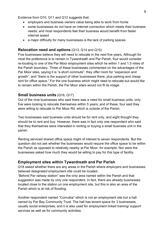Evidence from Q10, Q11 and Q12 suggests that:

- employers and business owners value being able to work from home
- some businesses do not have an internet connection which meets their business needs; and most respondents feel their business would benefit from faster internet speed
- a major difficulty for many businesses is the lack of parking spaces.

# **Relocation need and options** (Q13, Q14 and Q15)

Five businesses believe they will need to relocate in the next five years. Although for most the preference is to remain in Tywardreath and Par Parish, four would consider re-locating to one of the Par Moor employment sites which lie within 1 and 1.5 miles of the Parish boundary. Three of these businesses commented on the advantages of the Par Moor sites, saying it is "a short commute"; they offer room for "expansion and growth"; and "there is the support of other businesses there, plus parking and cheap rent for office space." For the one business which might need to relocate but would like to remain within the Parish, the Par Moor site/s would not fit its image.

## **Small business units** (Q16, Q17)

Out of the nine businesses who said there was a need for small business units, only five were looking to relocate themselves within 5 years; and of these, four said they were willing to relocate to Par Moor Rd. which is outside of the Parish.

Two businesses said business units should be for rent only, and eight thought they should be to rent and buy. However, there was in fact only one respondent who said that they themselves were interested in renting or buying a small business unit in the parish.

Renting serviced shared office space might of interest to seven respondents. But the question did not ask whether the businesses would require the office space to be within the Parish as opposed to relatively nearby at Par Moor, for example. Nor were the businesses asked how much they would be willing to pay for this type of facility.

# **Employment sites within Tywardreath and Par Parish**

Q18 asked whether there are any areas in the Parish where employers and businesses believed designated employment site could be located.

"Behind Par railway station" was the only area named within the Parish and that suggestion was made by only one respondent. In fact, there are already businesses located close to the station on one employment site, but this is also an area of the Parish which is at risk of flooding.

Another respondent named "Cornubia" which is not an employment site but a hall owned by Par Bay Community Trust. The hall has tenant space for 3 businesses, usually social enterprises; and it is also used for employment linked training/ support services as well as for community activities.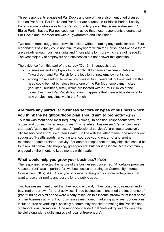Three respondents suggested Par Docks and one of these also mentioned disused land on Par Moor. Par Docks and Par Moor are situated in St Blaise Parish. Locally there is some confusion as to the Parish boundary, given that some addresses in St Blaise Parish have a Par postcode, so it may be that these respondents thought that Par Docks and Par Moor are within Tywardreath and Par Parish.

Two respondents suggested brownfield sites, without naming any particular area. Four respondents said they could not think of anywhere within the Parish; and two said there are already enough business units and "more plans for more which are not needed". The vast majority of employers and businesses did not answer this question.

The evidence from this part of the survey (Qs 13-18) suggests that:

- businesses and employers found it difficult to name anywhere suitable in Tywardreath and Par Parish for the location of new employment sites
- among those seeking to move premises within 5 years, all but one feel that this need could be met by relocation to one of the Par Moor employment sites (industrial, business, retail) which are located within 1 to 1.5 miles of the Tywardreath and Par Parish boundary. It appears that there is little demand for new employment sites within the Parish.

# **Are there any particular business sectors or types of business which you think the neighbourhood plan should aim to promote?** (Q19)

Tourism was mentioned most frequently (4 times). In addition, respondents favoured "social and community led enterprises"; "niche artisan businesses"; "small business start-ups"; "good quality businesses"; "professional services"; "architecture/design"; "digital services" and "Blue Green Health". In line with the latter theme, one respondent suggested "Health, sports, anything to encourage young entrants" and another mentioned "equine related" activity. For another respondent the key objective should be to: "Rebuild community shopping, greengrocers/ butchers/ deli/ cafe. More community engaged environments to keep money within parish."

# **What would help you grow your business?** (Q20)

The responses reflected the nature of the businesses concerned. "Affordable premises /space to rent" was important for two businesses operating as Community Interest Companies (CICs). A CIC is a type of company designed for social enterprises that want to use their profits and assets for the public good.

Two businesses mentioned that they would expand, if they could acquire more land buy, rent or borrow - for rural activities. Three businesses mentioned the importance of grant funding or similar and were clearly reliant on this income stream for at least some of their business activity. Four businesses mentioned marketing activities. Suggestions included "free advertising"; "possibly a community website promoting the Parish"; and "collaborational promotion". One respondent added that "networking events would be helpful along with a skills analysis of local entrepreneurs".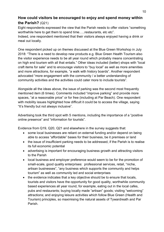# **How could visitors be encouraged to enjoy and spend money within the Parish?** (Q21)

Eight respondents expressed the view that the Parish needs to offer visitors "something worthwhile here to get them to spend time…..restaurants, etc etc".

Indeed, one respondent mentioned that their visitors always enjoyed having a drink or meal out locally.

One respondent picked up on themes discussed at the Blue Green Workshop in July 2018: "There is a need to develop new products e.g. Blue Green Health Tourism also the visitor experience needs to be all year round which probably means concentrating on high end tourism with all that entails." Other ideas included (better) shops with "local craft items for sale" and to encourage visitors to "buy local" as well as more amenities and more attractions, for example, "a walk with history boards". Another respondent advocated "more engagement with the community / a better understanding of community activities and the activities could cater more to include tourists".

Alongside all the ideas above, the issue of parking was the second most frequently mentioned item (6 times). Comments included "improve parking" and provide more spaces, "at a reasonable price" or for free (including at Par Beach). One respondent with mobility issues highlighted how difficult it could be to access the village, saying "It's friendly but not always inclusive".

Advertising took the third spot with 5 mentions, including the importance of a "positive online presence" and "information for tourists".

Evidence from Q19, Q20, Q21 and elsewhere in the survey suggests that:

- some local businesses are reliant on external funding and/or depend on being able to access "affordable" bases for their business, be it premises or land
- the issue of insufficient parking needs to be addressed, if the Parish is to realise its full economic potential
- advertising is important for encouraging business growth and attracting visitors to the Parish
- local business and employer preference would seem to be for the promotion of small-scale, good quality enterprises: professional services, retail, "niche, artisan businesses", "any business which supports the community and helps tourism" as well as community led and social enterprises
- the evidence indicates that a key objective should be to ensure that locals, tourists and visitors have the opportunity for good quality, worthwhile community based experiences all year round, for example, eating out in the local cafes, pubs and restaurants; buying locally made "artisan" goods; visiting "welcoming" attractions; and enjoying leisure activities which follow Blue Green (Health and Tourism) principles, so maximising the natural assets of Tywardreath and Par Parish.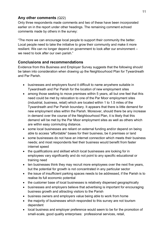# **Any other comments** (Q22)

Only three respondents made comments and two of these have been incorporated earlier on in the report under other headings. The remaining comment echoed comments made by others in the survey:

"The more we can encourage local people to support their community the better. Local people need to take the initiative to grow their community and make it more resilient. We can no longer depend on government to look after our environment – we need to look after our own parish."

# **Conclusions and recommendations**

Evidence from this Business and Employer Survey suggests that the following should be taken into consideration when drawing up the Neighbourhood Plan for Tywardreath and Par Parish.

- businesses and employers found it difficult to name anywhere suitable in Tywardreath and Par Parish for the location of new employment sites
- among those seeking to move premises within 5 years, all but one feel that this need could be met by relocation to one of the Par Moor employment sites (industrial, business, retail) which are located within 1 to 1.5 miles of the Tywardreath and Par Parish boundary. It appears that there is little demand for new employment sites within the Parish. Moreover, should there be any increase in demand over the course of the Neighbourhood Plan, it is likely that this demand will be met by the Par Moor employment sites as well as others which are within easy commuting distance.
- some local businesses are reliant on external funding and/or depend on being able to access "affordable" bases for their business, be it premises or land
- some businesses do not have an internet connection which meets their business needs; and most respondents feel their business would benefit from faster internet speed
- the qualifications and skillset which local businesses are looking for in employees vary significantly and do not point to any specific educational or training need
- ten businesses think they may recruit more employees over the next five years, but the potential for growth is not concentrated in any particular sector
- the issue of insufficient parking spaces needs to be addressed, if the Parish is to realise its full economic potential
- the customer base of local businesses is relatively dispersed geographically
- businesses and employers believe that advertising is important for encouraging business growth and attracting visitors to the Parish
- business owners and employers value being able to work from home
- the majority of businesses which responded to this survey are not tourism dependent
- local business and employer preference would seem to be for the promotion of small-scale, good quality enterprises: professional services, retail,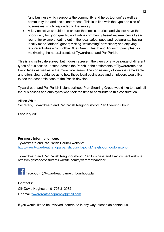"any business which supports the community and helps tourism" as well as community-led and social enterprises. This is in line with the type and size of businesses which responded to the survey.

 A key objective should be to ensure that locals, tourists and visitors have the opportunity for good quality, worthwhile community based experiences all year round, for example, eating out in the local cafes, pubs and restaurants; buying locally made "artisan" goods; visiting "welcoming" attractions; and enjoying leisure activities which follow Blue Green (Health and Tourism) principles, so maximising the natural assets of Tywardreath and Par Parish.

This is a small-scale survey, but it does represent the views of a wide range of different types of businesses, located across the Parish in the settlements of Tywardreath and Par villages as well as in the more rural areas. The consistency of views is remarkable and offers clear guidance as to how these local businesses and employers would like to see the economic base of the Parish develop.

Tywardreath and Par Parish Neighbourhood Plan Steering Group would like to thank all the businesses and employers who took the time to contribute to this consultation.

Alison White Secretary, Tywardreath and Par Parish Neighbourhood Plan Steering Group

February 2019

## **For more information see:**

Tywardreath and Par Parish Council website: http://www.tywardreathandparparishcouncil.gov.uk/neighbourhoodplan.php

Tywardreath and Par Parish Neighbourhood Plan Business and Employment website: https://highstoneconsultants.wixsite.com/tywardreathandpar

Facebook @tywardreathparneighbourhoodplan

## **Contacts:**

Cllr David Hughes on 01726 812982 Or email tywardreathandparnp@gmail.com

If you would like to be involved, contribute in any way, please do contact us.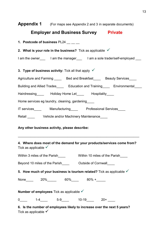| Appendix 1 (For maps see Appendix 2 and 3 in separate documents)                                           |  |  |  |  |  |  |
|------------------------------------------------------------------------------------------------------------|--|--|--|--|--|--|
| <b>Employer and Business Survey Private</b>                                                                |  |  |  |  |  |  |
|                                                                                                            |  |  |  |  |  |  |
| 2. What is your role in the business? Tick as applicable $\sqrt{ }$                                        |  |  |  |  |  |  |
| I am the owner____ I am the manager____ I am a sole trader/self-employed ___                               |  |  |  |  |  |  |
| 3. Type of business activity: Tick all that apply $\sqrt{\ }$                                              |  |  |  |  |  |  |
| Agriculture and Farming _____ Bed and Breakfast_____ Beauty Services____                                   |  |  |  |  |  |  |
| Building and Allied Trades______ Education and Training_____ Environmental_____                            |  |  |  |  |  |  |
| Hairdressing________ Holiday Home Let_______ Hospitality_____                                              |  |  |  |  |  |  |
| Home services eg laundry, cleaning, gardening                                                              |  |  |  |  |  |  |
| IT services___________ Manufacturing____________ Professional Services_____                                |  |  |  |  |  |  |
| Retail _____ Vehicle and/or Machinery Maintenance____                                                      |  |  |  |  |  |  |
| Any other business activity, please describe:                                                              |  |  |  |  |  |  |
| 4. Where does most of the demand for your products/services come from?<br>Tick as applicable $\checkmark$  |  |  |  |  |  |  |
| Within 3 miles of the Parish______________Within 10 miles of the Parish_____                               |  |  |  |  |  |  |
| Beyond 10 miles of the Parish______________ Outside of Cornwall_____                                       |  |  |  |  |  |  |
| 5. How much of your business is tourism related? Tick as applicable $\checkmark$                           |  |  |  |  |  |  |
| None_____  20%______  60%_____  80% +_____                                                                 |  |  |  |  |  |  |
| Number of employees Tick as applicable $\checkmark$                                                        |  |  |  |  |  |  |
| 0_____  1-4_____  5-9_____  10-19_____  20+ ____                                                           |  |  |  |  |  |  |
| 6. Is the number of employees likely to increase over the next 5 years?<br>Tick as applicable $\checkmark$ |  |  |  |  |  |  |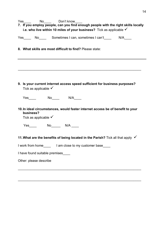| Yes No Don't know<br>7. If you employ people, can you find enough people with the right skills locally<br>i.e. who live within 10 miles of your business? Tick as applicable $\checkmark$ |  |  |  |  |  |  |  |  |
|-------------------------------------------------------------------------------------------------------------------------------------------------------------------------------------------|--|--|--|--|--|--|--|--|
| Yes No Sometimes I can, sometimes I can't N/A                                                                                                                                             |  |  |  |  |  |  |  |  |
| 8. What skills are most difficult to find? Please state:                                                                                                                                  |  |  |  |  |  |  |  |  |
|                                                                                                                                                                                           |  |  |  |  |  |  |  |  |
| 9. Is your current internet access speed sufficient for business purposes?<br>Tick as applicable $\checkmark$                                                                             |  |  |  |  |  |  |  |  |
|                                                                                                                                                                                           |  |  |  |  |  |  |  |  |
| 10. In ideal circumstances, would faster internet access be of benefit to your<br>business?<br>Tick as applicable $\checkmark$                                                            |  |  |  |  |  |  |  |  |
| 11. What are the benefits of being located in the Parish? Tick all that apply $\checkmark$                                                                                                |  |  |  |  |  |  |  |  |
| I work from home_________ I am close to my customer base_____                                                                                                                             |  |  |  |  |  |  |  |  |
| I have found suitable premises____                                                                                                                                                        |  |  |  |  |  |  |  |  |
| Other: please describe                                                                                                                                                                    |  |  |  |  |  |  |  |  |
|                                                                                                                                                                                           |  |  |  |  |  |  |  |  |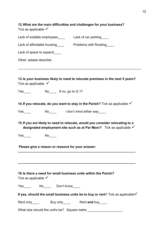| 12. What are the main difficulties and challenges for your business?<br>Tick as applicable $\checkmark$                                               |  |  |  |  |  |  |  |  |
|-------------------------------------------------------------------------------------------------------------------------------------------------------|--|--|--|--|--|--|--|--|
|                                                                                                                                                       |  |  |  |  |  |  |  |  |
| Lack of affordable housing Froblems with flooding                                                                                                     |  |  |  |  |  |  |  |  |
| Lack of space to expand____                                                                                                                           |  |  |  |  |  |  |  |  |
| Other: please describe:                                                                                                                               |  |  |  |  |  |  |  |  |
| 13. Is your business likely to need to relocate premises in the next 5 years?<br>Tick as applicable $\checkmark$                                      |  |  |  |  |  |  |  |  |
| Yes No If no, go to Q 17                                                                                                                              |  |  |  |  |  |  |  |  |
| 14. If you relocate, do you want to stay in the Parish? Tick as applicable $\checkmark$                                                               |  |  |  |  |  |  |  |  |
| Yes No I don't mind either way                                                                                                                        |  |  |  |  |  |  |  |  |
| 15. If you are likely to need to relocate, would you consider relocating to a<br>designated employment site such as at Par Moor? Tick as applicable V |  |  |  |  |  |  |  |  |
| Yes $\_\_$                                                                                                                                            |  |  |  |  |  |  |  |  |
| Please give a reason or reasons for your answer:                                                                                                      |  |  |  |  |  |  |  |  |
| 16. Is there a need for small business units within the Parish?<br>Tick as applicable $\checkmark$                                                    |  |  |  |  |  |  |  |  |
| Yes_____  No_____ Don't know_____                                                                                                                     |  |  |  |  |  |  |  |  |
| If yes, should the small business units be to buy or rent? Tick as applicable $\checkmark$                                                            |  |  |  |  |  |  |  |  |
|                                                                                                                                                       |  |  |  |  |  |  |  |  |
|                                                                                                                                                       |  |  |  |  |  |  |  |  |
| What size should the unit/s be? Square metre                                                                                                          |  |  |  |  |  |  |  |  |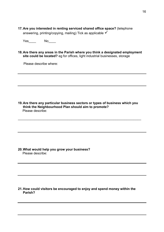**17.Are you interested in renting serviced shared office space?** (telephone answering, printing/copying, mailing) Tick as applicable  $\checkmark$ 

Yes No\_\_\_\_

**18.Are there any areas in the Parish where you think a designated employment site could be located?** eg for offices, light industrial businesses, storage

Please describe where:

**19.Are there any particular business sectors or types of business which you think the Neighbourhood Plan should aim to promote?** Please describe:

\_\_\_\_\_\_\_\_\_\_\_\_\_\_\_\_\_\_\_\_\_\_\_\_\_\_\_\_\_\_\_\_\_\_\_\_\_\_\_\_\_\_\_\_\_\_\_\_\_\_\_\_\_\_\_\_\_\_\_\_\_\_\_\_\_\_\_

**20.What would help you grow your business?** Please describe:

#### **21.How could visitors be encouraged to enjoy and spend money within the Parish?**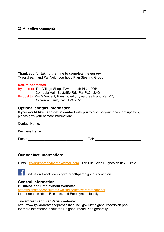#### **22.Any other comments**

|  |  |  | Thank you for taking the time to complete the survey |
|--|--|--|------------------------------------------------------|
|  |  |  |                                                      |

Tywardreath and Par Neighbourhood Plan Steering Group

#### **Return addresses**

By hand to: The Village Shop, Tywardreath PL24 2QP Cornubia Hall, Eastcliffe Rd., Par PL24 2AQ By post to: Mrs S Vincent, Parish Clerk, Tywardreath and Par PC, Colcerrow Farm, Par PL24 2RZ

#### **Optional contact information**

**If you would like us to get in contact** with you to discuss your ideas, get updates, please give your contact information:

Contact Name:\_\_\_\_\_\_\_\_\_\_\_\_\_\_\_\_\_\_\_\_\_\_\_\_\_\_\_\_\_\_\_\_\_\_\_\_\_\_\_\_\_\_\_\_\_\_\_\_\_\_\_\_\_\_\_

Business Name: \_\_\_\_\_\_\_\_\_\_\_\_\_\_\_\_\_\_\_\_\_\_\_\_\_\_\_\_\_\_\_\_\_\_\_\_\_\_\_\_\_\_\_\_\_\_\_\_\_\_\_\_\_\_

Email: \_\_\_\_\_\_\_\_\_\_\_\_\_\_\_\_\_\_\_\_\_\_\_\_\_\_\_\_\_\_ Tel: \_\_\_\_\_\_\_\_\_\_\_\_\_\_\_\_\_\_\_\_\_\_\_\_\_

# **Our contact information:**

E-mail: tywardreathandparnp@gmail.com Tel: Cllr David Hughes on 01726 812982

Find us on Facebook @tywardreathparneighbourhoodplan

## **General information:**

#### **Business and Employment Website:**

https://highstoneconsultants.wixsite.com/tywardreathandpar for information about Business and Employment locally

#### **Tywardreath and Par Parish website:**

http://www.tywardreathandparparishcouncil.gov.uk/neighbourhoodplan.php for more information about the Neighbourhood Plan generally